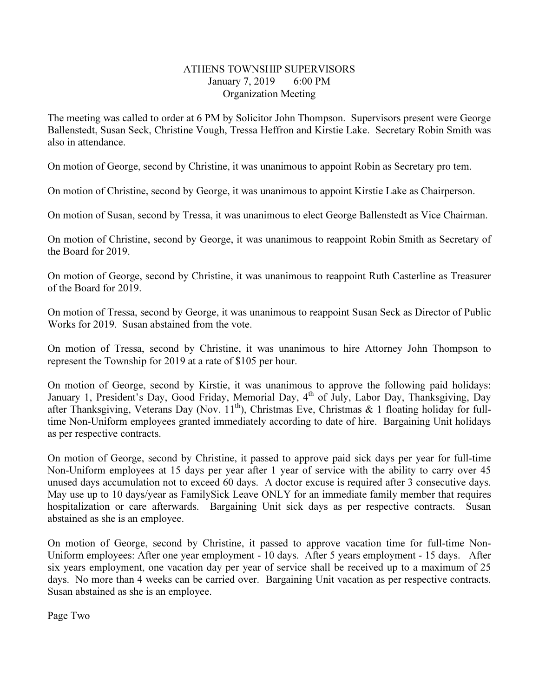## ATHENS TOWNSHIP SUPERVISORS January 7, 2019 6:00 PM Organization Meeting

The meeting was called to order at 6 PM by Solicitor John Thompson. Supervisors present were George Ballenstedt, Susan Seck, Christine Vough, Tressa Heffron and Kirstie Lake. Secretary Robin Smith was also in attendance.

On motion of George, second by Christine, it was unanimous to appoint Robin as Secretary pro tem.

On motion of Christine, second by George, it was unanimous to appoint Kirstie Lake as Chairperson.

On motion of Susan, second by Tressa, it was unanimous to elect George Ballenstedt as Vice Chairman.

On motion of Christine, second by George, it was unanimous to reappoint Robin Smith as Secretary of the Board for 2019.

On motion of George, second by Christine, it was unanimous to reappoint Ruth Casterline as Treasurer of the Board for 2019.

On motion of Tressa, second by George, it was unanimous to reappoint Susan Seck as Director of Public Works for 2019. Susan abstained from the vote.

On motion of Tressa, second by Christine, it was unanimous to hire Attorney John Thompson to represent the Township for 2019 at a rate of \$105 per hour.

On motion of George, second by Kirstie, it was unanimous to approve the following paid holidays: January 1, President's Day, Good Friday, Memorial Day, 4<sup>th</sup> of July, Labor Day, Thanksgiving, Day after Thanksgiving, Veterans Day (Nov.  $11^{th}$ ), Christmas Eve, Christmas & 1 floating holiday for fulltime Non-Uniform employees granted immediately according to date of hire. Bargaining Unit holidays as per respective contracts.

On motion of George, second by Christine, it passed to approve paid sick days per year for full-time Non-Uniform employees at 15 days per year after 1 year of service with the ability to carry over 45 unused days accumulation not to exceed 60 days. A doctor excuse is required after 3 consecutive days. May use up to 10 days/year as FamilySick Leave ONLY for an immediate family member that requires hospitalization or care afterwards. Bargaining Unit sick days as per respective contracts. Susan abstained as she is an employee.

On motion of George, second by Christine, it passed to approve vacation time for full-time Non-Uniform employees: After one year employment - 10 days. After 5 years employment - 15 days. After six years employment, one vacation day per year of service shall be received up to a maximum of 25 days. No more than 4 weeks can be carried over. Bargaining Unit vacation as per respective contracts. Susan abstained as she is an employee.

Page Two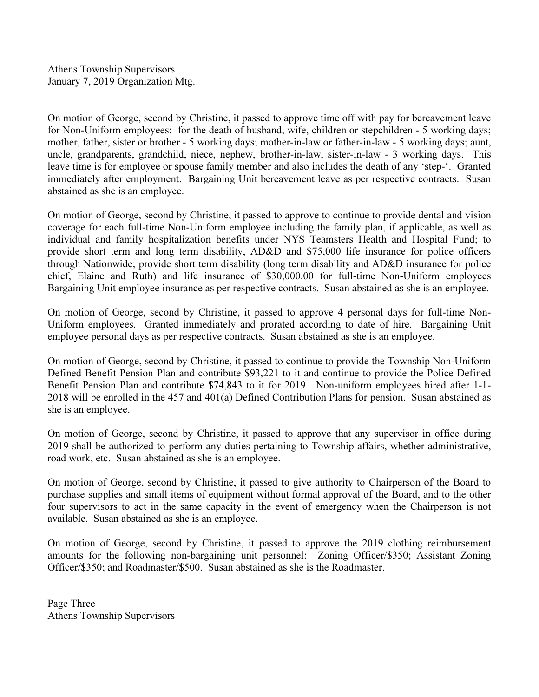Athens Township Supervisors January 7, 2019 Organization Mtg.

On motion of George, second by Christine, it passed to approve time off with pay for bereavement leave for Non-Uniform employees: for the death of husband, wife, children or stepchildren - 5 working days; mother, father, sister or brother - 5 working days; mother-in-law or father-in-law - 5 working days; aunt, uncle, grandparents, grandchild, niece, nephew, brother-in-law, sister-in-law - 3 working days. This leave time is for employee or spouse family member and also includes the death of any 'step-'. Granted immediately after employment. Bargaining Unit bereavement leave as per respective contracts. Susan abstained as she is an employee.

On motion of George, second by Christine, it passed to approve to continue to provide dental and vision coverage for each full-time Non-Uniform employee including the family plan, if applicable, as well as individual and family hospitalization benefits under NYS Teamsters Health and Hospital Fund; to provide short term and long term disability, AD&D and \$75,000 life insurance for police officers through Nationwide; provide short term disability (long term disability and AD&D insurance for police chief, Elaine and Ruth) and life insurance of \$30,000.00 for full-time Non-Uniform employees Bargaining Unit employee insurance as per respective contracts. Susan abstained as she is an employee.

On motion of George, second by Christine, it passed to approve 4 personal days for full-time Non-Uniform employees. Granted immediately and prorated according to date of hire. Bargaining Unit employee personal days as per respective contracts. Susan abstained as she is an employee.

On motion of George, second by Christine, it passed to continue to provide the Township Non-Uniform Defined Benefit Pension Plan and contribute \$93,221 to it and continue to provide the Police Defined Benefit Pension Plan and contribute \$74,843 to it for 2019. Non-uniform employees hired after 1-1- 2018 will be enrolled in the 457 and 401(a) Defined Contribution Plans for pension. Susan abstained as she is an employee.

On motion of George, second by Christine, it passed to approve that any supervisor in office during 2019 shall be authorized to perform any duties pertaining to Township affairs, whether administrative, road work, etc. Susan abstained as she is an employee.

On motion of George, second by Christine, it passed to give authority to Chairperson of the Board to purchase supplies and small items of equipment without formal approval of the Board, and to the other four supervisors to act in the same capacity in the event of emergency when the Chairperson is not available. Susan abstained as she is an employee.

On motion of George, second by Christine, it passed to approve the 2019 clothing reimbursement amounts for the following non-bargaining unit personnel: Zoning Officer/\$350; Assistant Zoning Officer/\$350; and Roadmaster/\$500. Susan abstained as she is the Roadmaster.

Page Three Athens Township Supervisors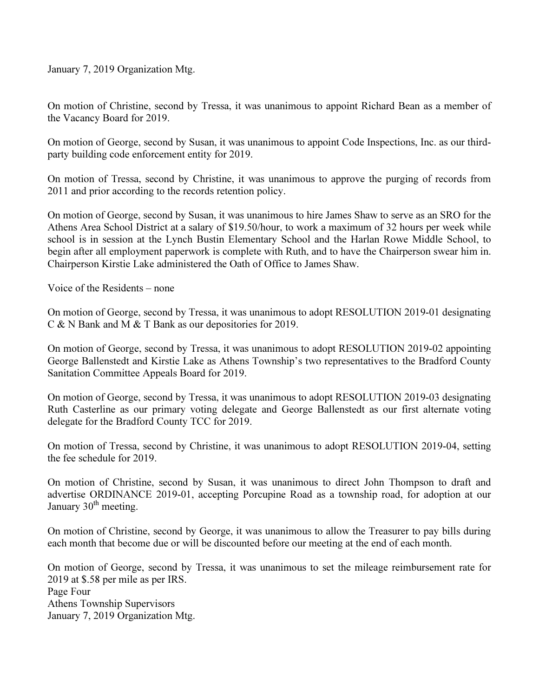January 7, 2019 Organization Mtg.

On motion of Christine, second by Tressa, it was unanimous to appoint Richard Bean as a member of the Vacancy Board for 2019.

On motion of George, second by Susan, it was unanimous to appoint Code Inspections, Inc. as our thirdparty building code enforcement entity for 2019.

On motion of Tressa, second by Christine, it was unanimous to approve the purging of records from 2011 and prior according to the records retention policy.

On motion of George, second by Susan, it was unanimous to hire James Shaw to serve as an SRO for the Athens Area School District at a salary of \$19.50/hour, to work a maximum of 32 hours per week while school is in session at the Lynch Bustin Elementary School and the Harlan Rowe Middle School, to begin after all employment paperwork is complete with Ruth, and to have the Chairperson swear him in. Chairperson Kirstie Lake administered the Oath of Office to James Shaw.

Voice of the Residents – none

On motion of George, second by Tressa, it was unanimous to adopt RESOLUTION 2019-01 designating C & N Bank and M & T Bank as our depositories for 2019.

On motion of George, second by Tressa, it was unanimous to adopt RESOLUTION 2019-02 appointing George Ballenstedt and Kirstie Lake as Athens Township's two representatives to the Bradford County Sanitation Committee Appeals Board for 2019.

On motion of George, second by Tressa, it was unanimous to adopt RESOLUTION 2019-03 designating Ruth Casterline as our primary voting delegate and George Ballenstedt as our first alternate voting delegate for the Bradford County TCC for 2019.

On motion of Tressa, second by Christine, it was unanimous to adopt RESOLUTION 2019-04, setting the fee schedule for 2019.

On motion of Christine, second by Susan, it was unanimous to direct John Thompson to draft and advertise ORDINANCE 2019-01, accepting Porcupine Road as a township road, for adoption at our January  $30<sup>th</sup>$  meeting.

On motion of Christine, second by George, it was unanimous to allow the Treasurer to pay bills during each month that become due or will be discounted before our meeting at the end of each month.

On motion of George, second by Tressa, it was unanimous to set the mileage reimbursement rate for 2019 at \$.58 per mile as per IRS. Page Four Athens Township Supervisors January 7, 2019 Organization Mtg.